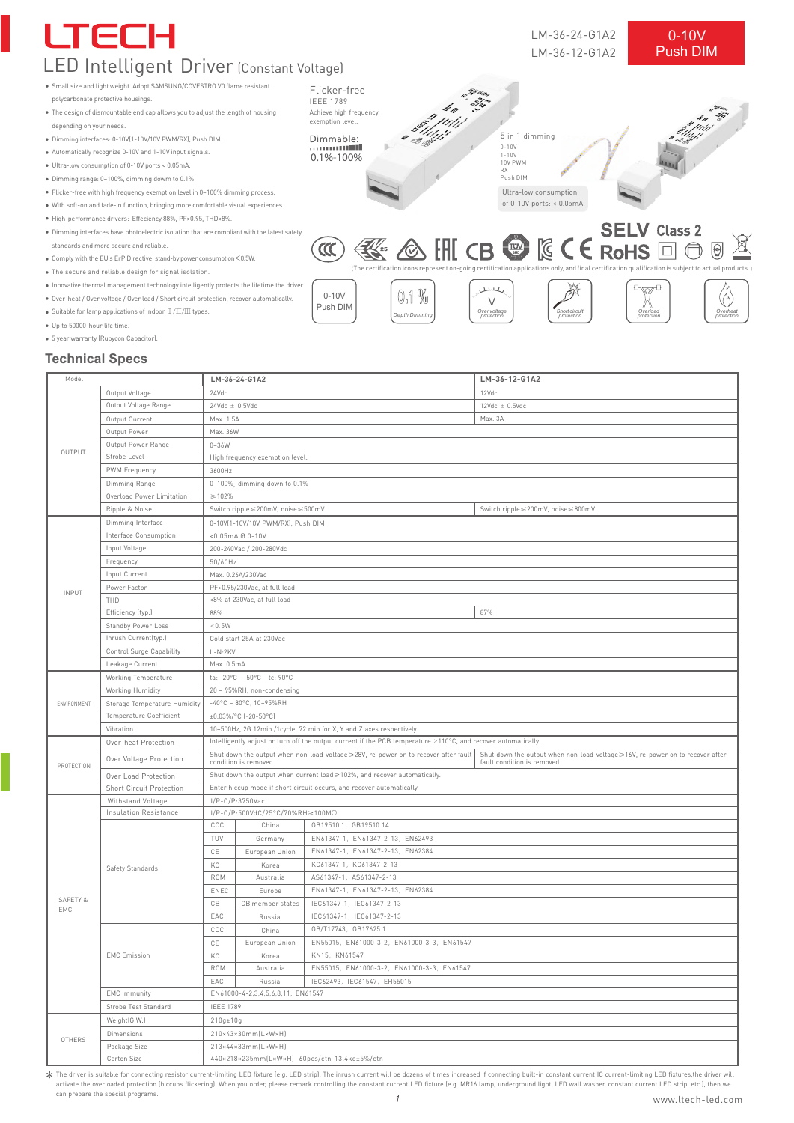

#### **Technical Specs**

| Model        |                                |                                                                                                                                                                                                                            | LM-36-24-G1A2    |                                            | LM-36-12-G1A2                      |  |  |
|--------------|--------------------------------|----------------------------------------------------------------------------------------------------------------------------------------------------------------------------------------------------------------------------|------------------|--------------------------------------------|------------------------------------|--|--|
|              | Output Voltage                 | 24Vdc                                                                                                                                                                                                                      |                  |                                            | 12Vdc                              |  |  |
| OUTPUT       | Output Voltage Range           | $24Vdc \pm 0.5Vdc$                                                                                                                                                                                                         |                  |                                            | $12 \text{Vdc} \pm 0.5 \text{Vdc}$ |  |  |
|              | Output Current                 |                                                                                                                                                                                                                            |                  |                                            | Max. 3A                            |  |  |
|              | Output Power                   | Max. 1.5A<br>Max. 36W                                                                                                                                                                                                      |                  |                                            |                                    |  |  |
|              | Output Power Range             | $0 - 36W$                                                                                                                                                                                                                  |                  |                                            |                                    |  |  |
|              | Strobe Level                   | High frequency exemption level.                                                                                                                                                                                            |                  |                                            |                                    |  |  |
|              | PWM Frequency                  | 3600Hz                                                                                                                                                                                                                     |                  |                                            |                                    |  |  |
|              | Dimming Range                  | 0~100%, dimming down to 0.1%                                                                                                                                                                                               |                  |                                            |                                    |  |  |
|              | Overload Power Limitation      | $\geq 102\%$                                                                                                                                                                                                               |                  |                                            |                                    |  |  |
|              | Ripple & Noise                 | Switch ripple ≤ 200mV, noise ≤ 500mV<br>Switch ripple ≤ 200mV, noise ≤ 800mV                                                                                                                                               |                  |                                            |                                    |  |  |
|              | Dimming Interface              | 0-10V(1-10V/10V PWM/RX), Push DIM                                                                                                                                                                                          |                  |                                            |                                    |  |  |
| <b>INPUT</b> | Interface Consumption          | <0.05mA @ 0-10V                                                                                                                                                                                                            |                  |                                            |                                    |  |  |
|              | Input Voltage                  | 200-240Vac / 200-280Vdc                                                                                                                                                                                                    |                  |                                            |                                    |  |  |
|              | Frequency                      | 50/60Hz                                                                                                                                                                                                                    |                  |                                            |                                    |  |  |
|              | Input Current                  | Max. 0.26A/230Vac                                                                                                                                                                                                          |                  |                                            |                                    |  |  |
|              | Power Factor                   | PF>0.95/230Vac, at full load                                                                                                                                                                                               |                  |                                            |                                    |  |  |
|              | THD                            | <8% at 230Vac, at full load                                                                                                                                                                                                |                  |                                            |                                    |  |  |
|              | Efficiency (typ.)              | 87%<br>88%                                                                                                                                                                                                                 |                  |                                            |                                    |  |  |
|              | Standby Power Loss             | < 0.5W                                                                                                                                                                                                                     |                  |                                            |                                    |  |  |
|              | Inrush Current(typ.)           | Cold start 25A at 230Vac                                                                                                                                                                                                   |                  |                                            |                                    |  |  |
|              | Control Surge Capability       | $L-N:2KV$                                                                                                                                                                                                                  |                  |                                            |                                    |  |  |
|              | Leakage Current                | Max. 0.5mA                                                                                                                                                                                                                 |                  |                                            |                                    |  |  |
|              | Working Temperature            | ta: -20°C ~ 50°C tc: 90°C                                                                                                                                                                                                  |                  |                                            |                                    |  |  |
|              | Working Humidity               | 20 ~ 95%RH, non-condensing                                                                                                                                                                                                 |                  |                                            |                                    |  |  |
| ENVIRONMENT  | Storage Temperature Humidity   | $-40^{\circ}$ C ~ 80°C, 10~95%RH                                                                                                                                                                                           |                  |                                            |                                    |  |  |
|              | <b>Temperature Coefficient</b> | ±0.03%/°C [-20-50°C]                                                                                                                                                                                                       |                  |                                            |                                    |  |  |
|              | Vibration                      | 10~500Hz, 2G 12min./1cycle, 72 min for X, Y and Z axes respectively.                                                                                                                                                       |                  |                                            |                                    |  |  |
|              | Over-heat Protection           | Intelligently adjust or turn off the output current if the PCB temperature ≥110°C, and recover automatically.                                                                                                              |                  |                                            |                                    |  |  |
|              | Over Voltage Protection        | Shut down the output when non-load voltage≥28V, re-power on to recover after fault<br>Shut down the output when non-load voltage≥16V, re-power on to recover after<br>condition is removed.<br>fault condition is removed. |                  |                                            |                                    |  |  |
| PROTECTION   | Over Load Protection           | Shut down the output when current load≥102%, and recover automatically.                                                                                                                                                    |                  |                                            |                                    |  |  |
|              | Short Circuit Protection       | Enter hiccup mode if short circuit occurs, and recover automatically.                                                                                                                                                      |                  |                                            |                                    |  |  |
|              | Withstand Voltage              | I/P-0/P:3750Vac                                                                                                                                                                                                            |                  |                                            |                                    |  |  |
|              | Insulation Resistance          | $I/P-O/P:500VdC/25°C/70%RH \ge 100M\Omega$                                                                                                                                                                                 |                  |                                            |                                    |  |  |
|              | Safety Standards               | CCC                                                                                                                                                                                                                        | China            | GB19510.1, GB19510.14                      |                                    |  |  |
|              |                                | TUV                                                                                                                                                                                                                        | Germany          | EN61347-1, EN61347-2-13, EN62493           |                                    |  |  |
|              |                                | CE                                                                                                                                                                                                                         | European Union   | EN61347-1, EN61347-2-13, EN62384           |                                    |  |  |
|              |                                | KC                                                                                                                                                                                                                         | Korea            | KC61347-1, KC61347-2-13                    |                                    |  |  |
|              |                                | <b>RCM</b>                                                                                                                                                                                                                 | Australia        | AS61347-1, AS61347-2-13                    |                                    |  |  |
|              |                                | ENEC                                                                                                                                                                                                                       | Europe           | EN61347-1, EN61347-2-13, EN62384           |                                    |  |  |
| SAFETY &     |                                | CВ                                                                                                                                                                                                                         | CB member states | IEC61347-1, IEC61347-2-13                  |                                    |  |  |
| EMC          |                                | EAC                                                                                                                                                                                                                        | Russia           | IEC61347-1, IEC61347-2-13                  |                                    |  |  |
|              | <b>EMC</b> Emission            | CCC                                                                                                                                                                                                                        | China            | GB/T17743, GB17625.1                       |                                    |  |  |
|              |                                | CE                                                                                                                                                                                                                         | European Union   | EN55015, EN61000-3-2, EN61000-3-3, EN61547 |                                    |  |  |
|              |                                | KC                                                                                                                                                                                                                         | Korea            | KN15, KN61547                              |                                    |  |  |
|              |                                | <b>RCM</b>                                                                                                                                                                                                                 | Australia        | EN55015, EN61000-3-2, EN61000-3-3, EN61547 |                                    |  |  |
|              |                                | EAC                                                                                                                                                                                                                        | Russia           | IEC62493, IEC61547, EH55015                |                                    |  |  |
|              | <b>EMC</b> Immunity            | EN61000-4-2,3,4,5,6,8,11, EN61547                                                                                                                                                                                          |                  |                                            |                                    |  |  |
|              | Strobe Test Standard           | <b>IEEE 1789</b>                                                                                                                                                                                                           |                  |                                            |                                    |  |  |
|              | Weight(G.W.)                   | $210g \pm 10g$                                                                                                                                                                                                             |                  |                                            |                                    |  |  |
| OTHERS       | Dimensions                     | 210×43×30mm(L×W×H)                                                                                                                                                                                                         |                  |                                            |                                    |  |  |
|              | Package Size                   | 213×44×33mm(L×W×H)                                                                                                                                                                                                         |                  |                                            |                                    |  |  |
|              | Carton Size                    | 440x218x235mm(LxWxH) 60pcs/ctn 13.4kg±5%/ctn                                                                                                                                                                               |                  |                                            |                                    |  |  |
|              |                                |                                                                                                                                                                                                                            |                  |                                            |                                    |  |  |

1 X The driver is suitable for connecting resistor current-limiting LED fixture (e.g. LED strip). The inrush current will be dozens of times increased if connecting built-in constant current IC current-limiting LED fixtures, activate the overloaded protection (hiccups flickering). When you order, please remark controlling the constant current LED fixture (e.g. MR16 lamp, underground light, LED wall washer, constant current LED strip, etc.), th can prepare the special programs.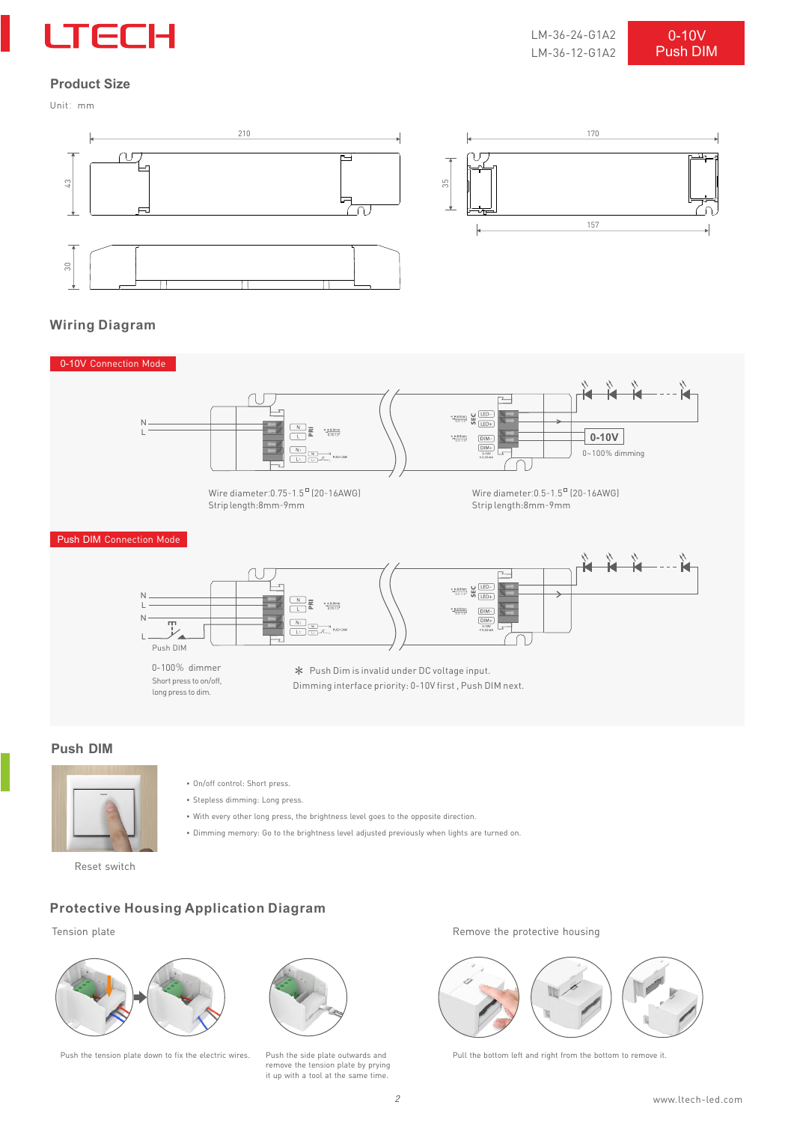

# **Product Size**

Unit:mm





## **Wiring Diagram**



#### **Push DIM**



- On/off control: Short press.
- Stepless dimming: Long press.
- With every other long press, the brightness level goes to the opposite direction.
- Dimming memory: Go to the brightness level adjusted previously when lights are turned on.

#### Reset switch

# **Protective Housing Application Diagram**





remove the tension plate by prying it up with a tool at the same time.

Tension plate Tension plate and the protective housing the protective housing  $\mathbb{R}$  Remove the protective housing



Push the tension plate down to fix the electric wires. Push the side plate outwards and Pull the bottom left and right from the bottom to remove it.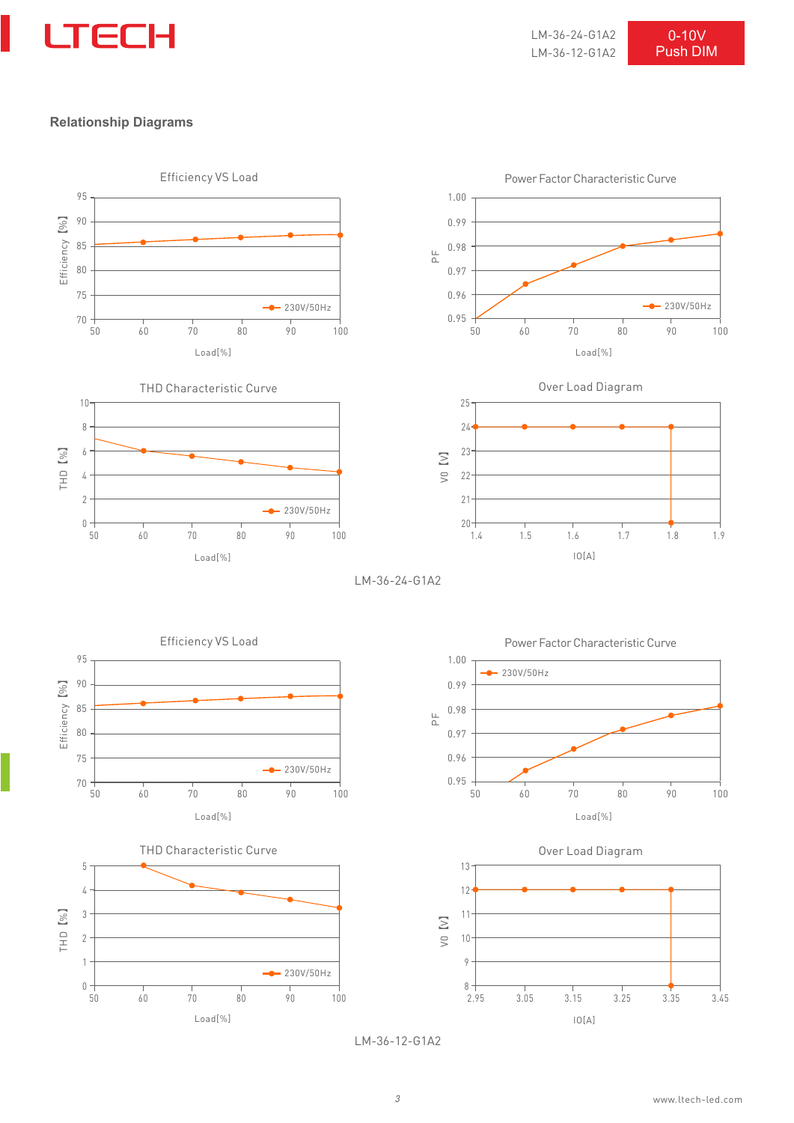

LM-36-24-G1A2 LM-36-12-G1A2 Push DIM 0-10V

#### **Relationship Diagrams**



LM-36-12-G1A2